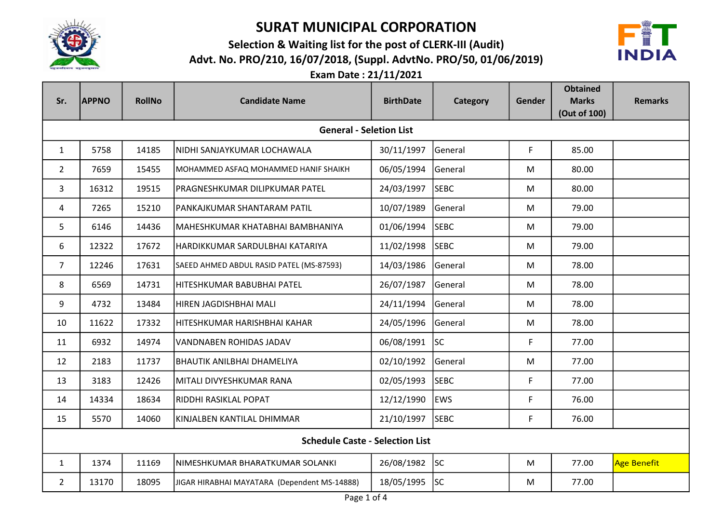

### Selection & Waiting list for the post of CLERK-III (Audit) Advt. No. PRO/210, 16/07/2018, (Suppl. AdvtNo. PRO/50, 01/06/2019)



| Sr.                                            | <b>APPNO</b> | <b>RollNo</b> | <b>Candidate Name</b>                        | <b>BirthDate</b> | <b>Category</b> | Gender      | <b>Obtained</b><br><b>Marks</b> | <b>Remarks</b>     |  |
|------------------------------------------------|--------------|---------------|----------------------------------------------|------------------|-----------------|-------------|---------------------------------|--------------------|--|
| (Out of 100)<br><b>General - Seletion List</b> |              |               |                                              |                  |                 |             |                                 |                    |  |
| $\mathbf{1}$                                   | 5758         | 14185         | NIDHI SANJAYKUMAR LOCHAWALA                  | 30/11/1997       | <b>General</b>  | F           | 85.00                           |                    |  |
| $\overline{2}$                                 | 7659         | 15455         | MOHAMMED ASFAQ MOHAMMED HANIF SHAIKH         | 06/05/1994       | General         | M           | 80.00                           |                    |  |
| 3                                              | 16312        | 19515         | PRAGNESHKUMAR DILIPKUMAR PATEL               | 24/03/1997       | <b>SEBC</b>     | M           | 80.00                           |                    |  |
| 4                                              | 7265         | 15210         | PANKAJKUMAR SHANTARAM PATIL                  | 10/07/1989       | General         | M           | 79.00                           |                    |  |
| 5                                              | 6146         | 14436         | MAHESHKUMAR KHATABHAI BAMBHANIYA             | 01/06/1994       | <b>SEBC</b>     | M           | 79.00                           |                    |  |
| 6                                              | 12322        | 17672         | HARDIKKUMAR SARDULBHAI KATARIYA              | 11/02/1998       | <b>SEBC</b>     | M           | 79.00                           |                    |  |
| $\overline{7}$                                 | 12246        | 17631         | SAEED AHMED ABDUL RASID PATEL (MS-87593)     | 14/03/1986       | <b>General</b>  | M           | 78.00                           |                    |  |
| 8                                              | 6569         | 14731         | HITESHKUMAR BABUBHAI PATEL                   | 26/07/1987       | General         | M           | 78.00                           |                    |  |
| 9                                              | 4732         | 13484         | HIREN JAGDISHBHAI MALI                       | 24/11/1994       | <b>General</b>  | M           | 78.00                           |                    |  |
| 10                                             | 11622        | 17332         | HITESHKUMAR HARISHBHAI KAHAR                 | 24/05/1996       | General         | M           | 78.00                           |                    |  |
| 11                                             | 6932         | 14974         | VANDNABEN ROHIDAS JADAV                      | 06/08/1991       | lsc             | F           | 77.00                           |                    |  |
| 12                                             | 2183         | 11737         | <b>BHAUTIK ANILBHAI DHAMELIYA</b>            | 02/10/1992       | General         | M           | 77.00                           |                    |  |
| 13                                             | 3183         | 12426         | MITALI DIVYESHKUMAR RANA                     | 02/05/1993       | <b>SEBC</b>     | F           | 77.00                           |                    |  |
| 14                                             | 14334        | 18634         | RIDDHI RASIKLAL POPAT                        | 12/12/1990       | <b>EWS</b>      | $\mathsf F$ | 76.00                           |                    |  |
| 15                                             | 5570         | 14060         | KINJALBEN KANTILAL DHIMMAR                   | 21/10/1997       | <b>SEBC</b>     | F           | 76.00                           |                    |  |
| <b>Schedule Caste - Selection List</b>         |              |               |                                              |                  |                 |             |                                 |                    |  |
| $\mathbf{1}$                                   | 1374         | 11169         | NIMESHKUMAR BHARATKUMAR SOLANKI              | 26/08/1982       | lsc             | M           | 77.00                           | <b>Age Benefit</b> |  |
| $\overline{2}$                                 | 13170        | 18095         | JIGAR HIRABHAI MAYATARA (Dependent MS-14888) | 18/05/1995       | lsc             | M           | 77.00                           |                    |  |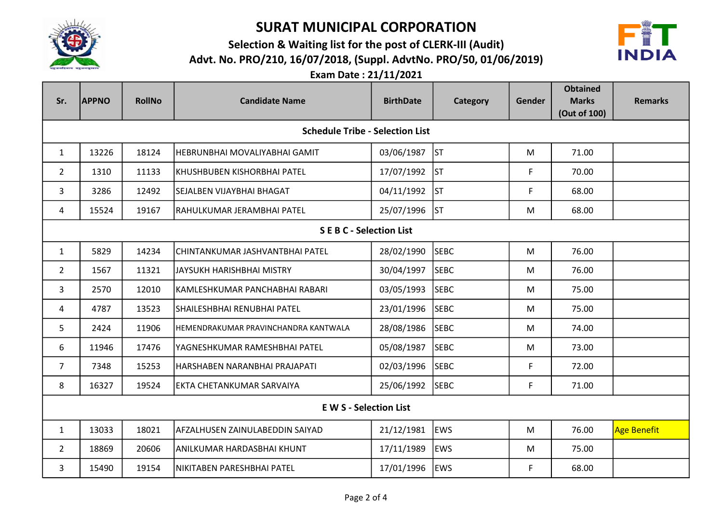

### Selection & Waiting list for the post of CLERK-III (Audit) Advt. No. PRO/210, 16/07/2018, (Suppl. AdvtNo. PRO/50, 01/06/2019)



| Sr.                                    | <b>APPNO</b> | <b>RollNo</b> | <b>Candidate Name</b>                 | <b>BirthDate</b> | <b>Category</b> | Gender | <b>Obtained</b><br><b>Marks</b> | <b>Remarks</b>     |  |
|----------------------------------------|--------------|---------------|---------------------------------------|------------------|-----------------|--------|---------------------------------|--------------------|--|
|                                        |              |               |                                       |                  |                 |        | (Out of 100)                    |                    |  |
| <b>Schedule Tribe - Selection List</b> |              |               |                                       |                  |                 |        |                                 |                    |  |
| 1                                      | 13226        | 18124         | HEBRUNBHAI MOVALIYABHAI GAMIT         | 03/06/1987       | <b>ST</b>       | M      | 71.00                           |                    |  |
| $\overline{2}$                         | 1310         | 11133         | KHUSHBUBEN KISHORBHAI PATEL           | 17/07/1992       | <b>ST</b>       | F      | 70.00                           |                    |  |
| 3                                      | 3286         | 12492         | SEJALBEN VIJAYBHAI BHAGAT             | 04/11/1992       | <b>ST</b>       | F      | 68.00                           |                    |  |
| 4                                      | 15524        | 19167         | İRAHULKUMAR JERAMBHAI PATEL           | 25/07/1996       | <b>ST</b>       | M      | 68.00                           |                    |  |
| <b>SEBC</b> - Selection List           |              |               |                                       |                  |                 |        |                                 |                    |  |
| $\mathbf{1}$                           | 5829         | 14234         | CHINTANKUMAR JASHVANTBHAI PATEL       | 28/02/1990       | <b>SEBC</b>     | M      | 76.00                           |                    |  |
| $\overline{2}$                         | 1567         | 11321         | JAYSUKH HARISHBHAI MISTRY             | 30/04/1997       | <b>SEBC</b>     | M      | 76.00                           |                    |  |
| 3                                      | 2570         | 12010         | KAMLESHKUMAR PANCHABHAI RABARI        | 03/05/1993       | <b>SEBC</b>     | M      | 75.00                           |                    |  |
| 4                                      | 4787         | 13523         | SHAILESHBHAI RENUBHAI PATEL           | 23/01/1996       | <b>SEBC</b>     | M      | 75.00                           |                    |  |
| 5                                      | 2424         | 11906         | IHEMENDRAKUMAR PRAVINCHANDRA KANTWALA | 28/08/1986       | <b>SEBC</b>     | M      | 74.00                           |                    |  |
| 6                                      | 11946        | 17476         | YAGNESHKUMAR RAMESHBHAI PATEL         | 05/08/1987       | <b>SEBC</b>     | M      | 73.00                           |                    |  |
| $\overline{7}$                         | 7348         | 15253         | HARSHABEN NARANBHAI PRAJAPATI         | 02/03/1996       | <b>SEBC</b>     | F      | 72.00                           |                    |  |
| 8                                      | 16327        | 19524         | EKTA CHETANKUMAR SARVAIYA             | 25/06/1992       | <b>SEBC</b>     | F      | 71.00                           |                    |  |
| <b>E W S - Selection List</b>          |              |               |                                       |                  |                 |        |                                 |                    |  |
| $\mathbf{1}$                           | 13033        | 18021         | AFZALHUSEN ZAINULABEDDIN SAIYAD       | 21/12/1981       | <b>EWS</b>      | M      | 76.00                           | <b>Age Benefit</b> |  |
| $\overline{2}$                         | 18869        | 20606         | ANILKUMAR HARDASBHAI KHUNT            | 17/11/1989       | <b>EWS</b>      | M      | 75.00                           |                    |  |
| 3                                      | 15490        | 19154         | INIKITABEN PARESHBHAI PATEL           | 17/01/1996       | <b>EWS</b>      | F      | 68.00                           |                    |  |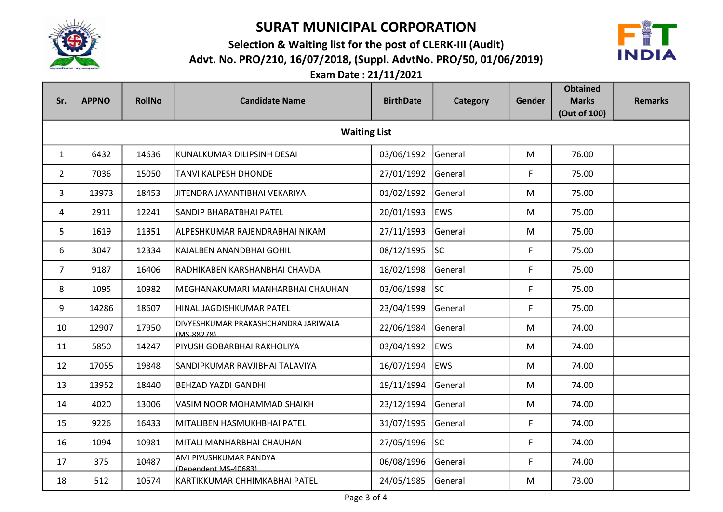

### Selection & Waiting list for the post of CLERK-III (Audit) Advt. No. PRO/210, 16/07/2018, (Suppl. AdvtNo. PRO/50, 01/06/2019)



| Sr.                 | <b>APPNO</b> | <b>RollNo</b> | <b>Candidate Name</b>                              | <b>BirthDate</b> | <b>Category</b> | Gender      | <b>Obtained</b><br><b>Marks</b> | <b>Remarks</b> |  |
|---------------------|--------------|---------------|----------------------------------------------------|------------------|-----------------|-------------|---------------------------------|----------------|--|
|                     |              |               |                                                    |                  |                 |             | (Out of 100)                    |                |  |
| <b>Waiting List</b> |              |               |                                                    |                  |                 |             |                                 |                |  |
| $\mathbf{1}$        | 6432         | 14636         | KUNALKUMAR DILIPSINH DESAI                         | 03/06/1992       | General         | M           | 76.00                           |                |  |
| $\overline{2}$      | 7036         | 15050         | <b>TANVI KALPESH DHONDE</b>                        | 27/01/1992       | General         | F           | 75.00                           |                |  |
| 3                   | 13973        | 18453         | JITENDRA JAYANTIBHAI VEKARIYA                      | 01/02/1992       | General         | M           | 75.00                           |                |  |
| 4                   | 2911         | 12241         | SANDIP BHARATBHAI PATEL                            | 20/01/1993       | <b>EWS</b>      | M           | 75.00                           |                |  |
| 5                   | 1619         | 11351         | ALPESHKUMAR RAJENDRABHAI NIKAM                     | 27/11/1993       | General         | M           | 75.00                           |                |  |
| 6                   | 3047         | 12334         | KAJALBEN ANANDBHAI GOHIL                           | 08/12/1995       | lsc             | F           | 75.00                           |                |  |
| $\overline{7}$      | 9187         | 16406         | RADHIKABEN KARSHANBHAI CHAVDA                      | 18/02/1998       | General         | F           | 75.00                           |                |  |
| 8                   | 1095         | 10982         | MEGHANAKUMARI MANHARBHAI CHAUHAN                   | 03/06/1998       | lsc             | $\mathsf F$ | 75.00                           |                |  |
| 9                   | 14286        | 18607         | HINAL JAGDISHKUMAR PATEL                           | 23/04/1999       | General         | F           | 75.00                           |                |  |
| 10                  | 12907        | 17950         | DIVYESHKUMAR PRAKASHCHANDRA JARIWALA<br>(MS-88278) | 22/06/1984       | General         | M           | 74.00                           |                |  |
| 11                  | 5850         | 14247         | PIYUSH GOBARBHAI RAKHOLIYA                         | 03/04/1992       | <b>EWS</b>      | M           | 74.00                           |                |  |
| 12                  | 17055        | 19848         | SANDIPKUMAR RAVJIBHAI TALAVIYA                     | 16/07/1994       | <b>EWS</b>      | ${\sf M}$   | 74.00                           |                |  |
| 13                  | 13952        | 18440         | <b>BEHZAD YAZDI GANDHI</b>                         | 19/11/1994       | General         | M           | 74.00                           |                |  |
| 14                  | 4020         | 13006         | VASIM NOOR MOHAMMAD SHAIKH                         | 23/12/1994       | General         | M           | 74.00                           |                |  |
| 15                  | 9226         | 16433         | MITALIBEN HASMUKHBHAI PATEL                        | 31/07/1995       | General         | F           | 74.00                           |                |  |
| 16                  | 1094         | 10981         | MITALI MANHARBHAI CHAUHAN                          | 27/05/1996       | lsc             | F           | 74.00                           |                |  |
| 17                  | 375          | 10487         | AMI PIYUSHKUMAR PANDYA<br>(Denendent MS-40683)     | 06/08/1996       | General         | F           | 74.00                           |                |  |
| 18                  | 512          | 10574         | KARTIKKUMAR CHHIMKABHAI PATEL                      | 24/05/1985       | General         | M           | 73.00                           |                |  |